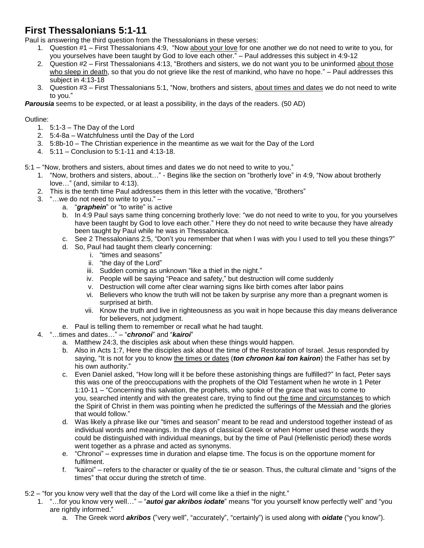## **First Thessalonians 5:1-11**

Paul is answering the third question from the Thessalonians in these verses:

- 1. Question #1 First Thessalonians 4:9, "Now about your love for one another we do not need to write to you, for you yourselves have been taught by God to love each other." – Paul addresses this subject in 4:9-12
- 2. Question #2 First Thessalonians 4:13, "Brothers and sisters, we do not want you to be uninformed about those who sleep in death, so that you do not grieve like the rest of mankind, who have no hope." – Paul addresses this subject in 4:13-18
- 3. Question #3 First Thessalonians 5:1, "Now, brothers and sisters, about times and dates we do not need to write to you."

*Parousia* seems to be expected, or at least a possibility, in the days of the readers. (50 AD)

## Outline:

- 1. 5:1-3 The Day of the Lord
- 2. 5:4-8a Watchfulness until the Day of the Lord
- 3. 5:8b-10 The Christian experience in the meantime as we wait for the Day of the Lord
- 4. 5:11 Conclusion to 5:1-11 and 4:13-18.

5:1 – "Now, brothers and sisters, about times and dates we do not need to write to you,"

- 1. "Now, brothers and sisters, about…" Begins like the section on "brotherly love" in 4:9, "Now about brotherly love…" (and, similar to 4:13).
- 2. This is the tenth time Paul addresses them in this letter with the vocative, "Brothers"
- 3. "…we do not need to write to you."
	- a. "*graphein*" or "to write" is active
	- b. In 4:9 Paul says same thing concerning brotherly love: "we do not need to write to you, for you yourselves have been taught by God to love each other." Here they do not need to write because they have already been taught by Paul while he was in Thessalonica.
	- c. See 2 Thessalonians 2:5, "Don't you remember that when I was with you I used to tell you these things?"
		- d. So, Paul had taught them clearly concerning:
			- i. "times and seasons"
			- ii. "the day of the Lord"
			- iii. Sudden coming as unknown "like a thief in the night."
			- iv. People will be saying "Peace and safety," but destruction will come suddenly
			- v. Destruction will come after clear warning signs like birth comes after labor pains
			- vi. Believers who know the truth will not be taken by surprise any more than a pregnant women is surprised at birth.
			- vii. Know the truth and live in righteousness as you wait in hope because this day means deliverance for believers, not judgment.
	- e. Paul is telling them to remember or recall what he had taught.
- 4. "…times and dates…" "*chronoi*" and "*kairoi*"
	- a. Matthew 24:3, the disciples ask about when these things would happen.
	- b. Also in Acts 1:7, Here the disciples ask about the time of the Restoration of Israel. Jesus responded by saying, "It is not for you to know the times or dates (*ton chronon kai ton kairon*) the Father has set by his own authority."
	- c. Even Daniel asked, "How long will it be before these astonishing things are fulfilled?" In fact, Peter says this was one of the preoccupations with the prophets of the Old Testament when he wrote in 1 Peter 1:10-11 – "Concerning this salvation, the prophets, who spoke of the grace that was to come to you, searched intently and with the greatest care, trying to find out the time and circumstances to which the Spirit of Christ in them was pointing when he predicted the sufferings of the Messiah and the glories that would follow."
	- d. Was likely a phrase like our "times and season" meant to be read and understood together instead of as individual words and meanings. In the days of classical Greek or when Homer used these words they could be distinguished with individual meanings, but by the time of Paul (Hellenistic period) these words went together as a phrase and acted as synonyms.
	- e. "Chronoi" expresses time in duration and elapse time. The focus is on the opportune moment for fulfilment.
	- f. "kairoi" refers to the character or quality of the tie or season. Thus, the cultural climate and "signs of the times" that occur during the stretch of time.
- 5:2 "for you know very well that the day of the Lord will come like a thief in the night."
	- 1. "…for you know very well…" "*autoi gar akribos iodate*" means "for you yourself know perfectly well" and "you are rightly informed."
		- a. The Greek word *akribos* ("very well", "accurately", "certainly") is used along with *oidate* ("you know").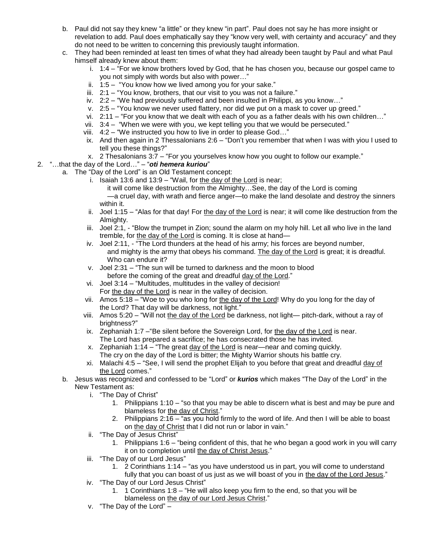- b. Paul did not say they knew "a little" or they knew "in part". Paul does not say he has more insight or revelation to add. Paul does emphatically say they "know very well, with certainty and accuracy" and they do not need to be written to concerning this previously taught information.
- c. They had been reminded at least ten times of what they had already been taught by Paul and what Paul himself already knew about them:
	- i. 1:4 "For we know brothers loved by God, that he has chosen you, because our gospel came to you not simply with words but also with power…"
	- ii. 1:5 "You know how we lived among you for your sake."
	- iii. 2:1 "You know, brothers, that our visit to you was not a failure."
	- iv. 2:2 "We had previously suffered and been insulted in Philippi, as you know…"
	- v. 2:5 "You know we never used flattery, nor did we put on a mask to cover up greed."
	- vi. 2:11 "For you know that we dealt with each of you as a father deals with his own children…"
	- vii. 3:4 "When we were with you, we kept telling you that we would be persecuted."
	- viii. 4:2 "We instructed you how to live in order to please God…"
	- ix. And then again in 2 Thessalonians 2:6 "Don't you remember that when I was with yiou I used to tell you these things?"
	- x. 2 Thesalonians 3:7 "For you yourselves know how you ought to follow our example."
- 2. "…that the day of the Lord…" "*oti hemera kuriou*"
	- a. The "Day of the Lord" is an Old Testament concept:
		- i. Isaiah 13:6 and 13:9 "Wail, for the day of the Lord is near;
			- it will come like destruction from the Almighty…See, the day of the Lord is coming —a cruel day, with wrath and fierce anger—to make the land desolate and destroy the sinners within it.
		- ii. Joel 1:15 "Alas for that day! For the day of the Lord is near; it will come like destruction from the Almighty.
		- iii. Joel 2:1, "Blow the trumpet in Zion; sound the alarm on my holy hill. Let all who live in the land tremble, for the day of the Lord is coming. It is close at hand—
		- iv. Joel 2:11, "The Lord thunders at the head of his army; his forces are beyond number, and mighty is the army that obeys his command. The day of the Lord is great; it is dreadful. Who can endure it?
		- v. Joel 2:31 "The sun will be turned to darkness and the moon to blood before the coming of the great and dreadful day of the Lord."
		- vi. Joel 3:14 "Multitudes, multitudes in the valley of decision! For the day of the Lord is near in the valley of decision.
		- vii. Amos 5:18 "Woe to you who long for the day of the Lord! Why do you long for the day of the Lord? That day will be darkness, not light."
		- viii. Amos 5:20 "Will not the day of the Lord be darkness, not light— pitch-dark, without a ray of brightness?"
		- ix. Zephaniah  $1:7 -$  "Be silent before the Sovereign Lord, for the day of the Lord is near. The Lord has prepared a sacrifice; he has consecrated those he has invited.
		- x. Zephaniah 1:14 "The great day of the Lord is near—near and coming quickly. The cry on the day of the Lord is bitter; the Mighty Warrior shouts his battle cry.
		- xi. Malachi 4:5 "See, I will send the prophet Elijah to you before that great and dreadful day of the Lord comes."
	- b. Jesus was recognized and confessed to be "Lord" or *kurios* which makes "The Day of the Lord" in the New Testament as:
		- i. "The Day of Christ"
			- 1. Philippians 1:10 "so that you may be able to discern what is best and may be pure and blameless for the day of Christ."
			- 2. Philippians 2:16 "as you hold firmly to the word of life. And then I will be able to boast on the day of Christ that I did not run or labor in vain."
		- ii. "The Day of Jesus Christ"
			- 1. Philippians 1:6 "being confident of this, that he who began a good work in you will carry it on to completion until the day of Christ Jesus."
		- iii. "The Day of our Lord Jesus"
			- 1. 2 Corinthians 1:14 "as you have understood us in part, you will come to understand fully that you can boast of us just as we will boast of you in the day of the Lord Jesus."
		- iv. "The Day of our Lord Jesus Christ"
			- 1. 1 Corinthians 1:8 "He will also keep you firm to the end, so that you will be blameless on the day of our Lord Jesus Christ."
		- v. "The Day of the Lord" –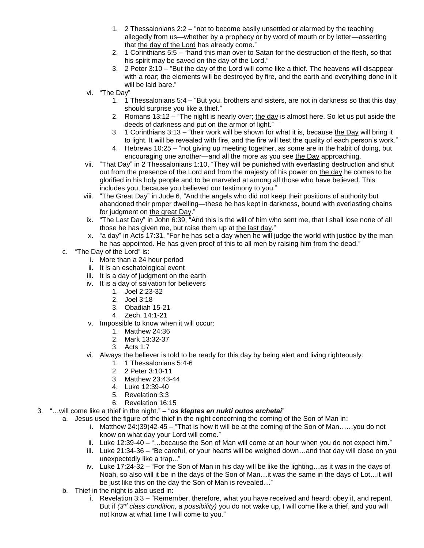- 1. 2 Thessalonians 2:2 "not to become easily unsettled or alarmed by the teaching allegedly from us—whether by a prophecy or by word of mouth or by letter—asserting that the day of the Lord has already come."
- 2. 1 Corinthians 5:5 "hand this man over to Satan for the destruction of the flesh, so that his spirit may be saved on the day of the Lord."
- 3. 2 Peter 3:10 "But the day of the Lord will come like a thief. The heavens will disappear with a roar; the elements will be destroyed by fire, and the earth and everything done in it will be laid bare."
- vi. "The Day"
	- 1. 1 Thessalonians 5:4 "But you, brothers and sisters, are not in darkness so that this day should surprise you like a thief."
	- 2. Romans 13:12 "The night is nearly over; the day is almost here. So let us put aside the deeds of darkness and put on the armor of light."
	- 3. 1 Corinthians 3:13 "their work will be shown for what it is, because the Day will bring it to light. It will be revealed with fire, and the fire will test the quality of each person's work."
	- 4. Hebrews 10:25 "not giving up meeting together, as some are in the habit of doing, but encouraging one another—and all the more as you see the Day approaching.
- vii. "That Day" in 2 Thessalonians 1:10, "They will be punished with everlasting destruction and shut out from the presence of the Lord and from the majesty of his power on the day he comes to be glorified in his holy people and to be marveled at among all those who have believed. This includes you, because you believed our testimony to you."
- viii. "The Great Day" in Jude 6, "And the angels who did not keep their positions of authority but abandoned their proper dwelling—these he has kept in darkness, bound with everlasting chains for judgment on the great Day."
- ix. "The Last Day" in John 6:39, "And this is the will of him who sent me, that I shall lose none of all those he has given me, but raise them up at the last day."
- x. "a day" in Acts 17:31, "For he has set a day when he will judge the world with justice by the man he has appointed. He has given proof of this to all men by raising him from the dead."
- c. "The Day of the Lord" is:
	- i. More than a 24 hour period
	- ii. It is an eschatological event
	- iii. It is a day of judgment on the earth
	- iv. It is a day of salvation for believers
		- 1. Joel 2:23-32
		- 2. Joel 3:18
		- 3. Obadiah 15-21
		- 4. Zech. 14:1-21
	- v. Impossible to know when it will occur:
		- 1. Matthew 24:36
		- 2. Mark 13:32-37
		- 3. Acts 1:7
	- vi. Always the believer is told to be ready for this day by being alert and living righteously:
		- 1. 1 Thessalonians 5:4-6
		- 2. 2 Peter 3:10-11
		- 3. Matthew 23:43-44
		- 4. Luke 12:39-40
		- 5. Revelation 3:3
		- 6. Revelation 16:15
- 3. "…will come like a thief in the night." "*os kleptes en nukti outos erchetai*"
	- a. Jesus used the figure of the thief in the night concerning the coming of the Son of Man in:
		- i. Matthew 24:(39)42-45 "That is how it will be at the coming of the Son of Man……you do not know on what day your Lord will come."
		- ii. Luke 12:39-40 "...because the Son of Man will come at an hour when you do not expect him."
		- iii. Luke 21:34-36 "Be careful, or your hearts will be weighed down…and that day will close on you unexpectedly like a trap..."
		- iv. Luke 17:24-32 "For the Son of Man in his day will be like the lighting…as it was in the days of Noah, so also will it be in the days of the Son of Man…it was the same in the days of Lot…it will be just like this on the day the Son of Man is revealed…"
	- b. Thief in the night is also used in:
		- i. Revelation 3:3 "Remember, therefore, what you have received and heard; obey it, and repent. But if *(3rd class condition, a possibility)* you do not wake up, I will come like a thief, and you will not know at what time I will come to you."